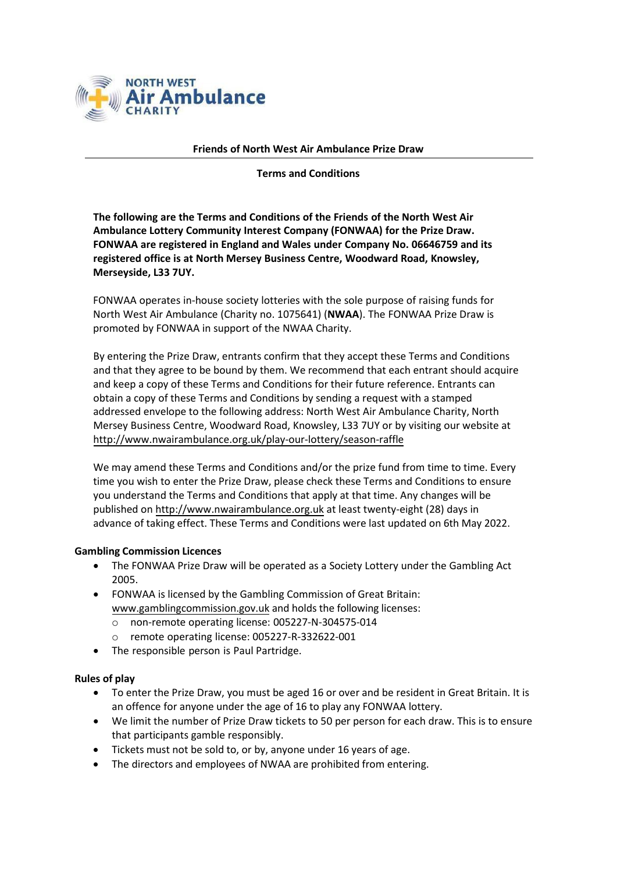

#### **Friends of North West Air Ambulance Prize Draw**

**Terms and Conditions**

**The following are the Terms and Conditions of the Friends of the North West Air Ambulance Lottery Community Interest Company (FONWAA) for the Prize Draw. FONWAA are registered in England and Wales under Company No. 06646759 and its registered office is at North Mersey Business Centre, Woodward Road, Knowsley, Merseyside, L33 7UY.**

FONWAA operates in-house society lotteries with the sole purpose of raising funds for North West Air Ambulance (Charity no. 1075641) (**NWAA**). The FONWAA Prize Draw is promoted by FONWAA in support of the NWAA Charity.

By entering the Prize Draw, entrants confirm that they a[ccept](https://www.gamblingcommission.gov.uk/) these Terms and Condit[ions](https://www.gamblingcommission.gov.uk/) and that they agree to be bound by them. We recommend that each entrant should acquire and keep a copy of these Terms and Conditions for their future reference. Entrants can obtain a copy of these Terms and Conditions by sending a request with a stamped addressed envelope to the following address: North West Air Ambulance Charity, North Mersey Business Centre, Woodward Road, Knowsley, L33 7UY or by visiting our website at <http://www.nwairambulance.org.uk/play-our-lottery/season-raffle>

We may amend these Terms and Conditions and/or the prize fund from time to time. Every time you wish to enter the Prize Draw, please check these Terms and Conditions to ensure you understand the Terms and Conditions that apply at that time. Any changes will be published on [http://www.nwairambulance.org.uk](http://www.nwairambulance.org.uk/) at least twenty-eight (28) days in advance of taking effect. These Terms and Conditions were last updated on 6th May 2022.

### **Gambling Commission Licences**

- The FONWAA Prize Draw will be operated as a Society Lottery under the Gambling Act 2005.
- FONWAA is licensed by the Gambling Commission of Great Britain: [www.gamblingcommission.gov.uk](http://www.gamblingcommission.gov.uk/) and holds the following licenses:
	- o non-remote operating license: 005227-N-304575-014
	- o remote operating license: 005227-R-332622-001
- The responsible person is Paul Partridge.

### **Rules of play**

- To enter the Prize Draw, you must be aged 16 or over and be resident in Great Britain. It is an offence for anyone under the age of 16 to play any FONWAA lottery.
- We limit the number of Prize Draw tickets to 50 per person for each draw. This is to ensure that participants gamble responsibly.
- Tickets must not be sold to, or by, anyone under 16 years of age.
- The directors and employees of NWAA are prohibited from entering.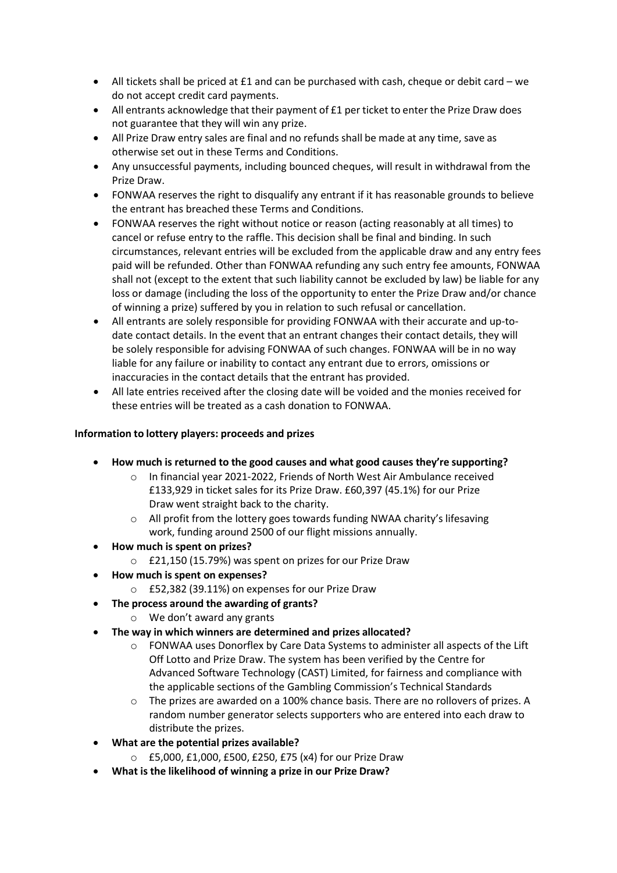- All tickets shall be priced at £1 and can be purchased with cash, cheque or debit card we do not accept credit card payments.
- All entrants acknowledge that their payment of £1 per ticket to enter the Prize Draw does not guarantee that they will win any prize.
- All Prize Draw entry sales are final and no refunds shall be made at any time, save as otherwise set out in these Terms and Conditions.
- Any unsuccessful payments, including bounced cheques, will result in withdrawal from the Prize Draw.
- FONWAA reserves the right to disqualify any entrant if it has reasonable grounds to believe the entrant has breached these Terms and Conditions.
- FONWAA reserves the right without notice or reason (acting reasonably at all times) to cancel or refuse entry to the raffle. This decision shall be final and binding. In such circumstances, relevant entries will be excluded from the applicable draw and any entry fees paid will be refunded. Other than FONWAA refunding any such entry fee amounts, FONWAA shall not (except to the extent that such liability cannot be excluded by law) be liable for any loss or damage (including the loss of the opportunity to enter the Prize Draw and/or chance of winning a prize) suffered by you in relation to such refusal or cancellation.
- All entrants are solely responsible for providing FONWAA with their accurate and up-todate contact details. In the event that an entrant changes their contact details, they will be solely responsible for advising FONWAA of such changes. FONWAA will be in no way liable for any failure or inability to contact any entrant due to errors, omissions or inaccuracies in the contact details that the entrant has provided.
- All late entries received after the closing date will be voided and the monies received for these entries will be treated as a cash donation to FONWAA.

# **Information to lottery players: proceeds and prizes**

- **How much is returned to the good causes and what good causes they're supporting?**
	- o In financial year 2021-2022, Friends of North West Air Ambulance received £133,929 in ticket sales for its Prize Draw. £60,397 (45.1%) for our Prize Draw went straight back to the charity.
	- o All profit from the lottery goes towards funding NWAA charity's lifesaving work, funding around 2500 of our flight missions annually.
- **How much is spent on prizes?**
	- o £21,150 (15.79%) was spent on prizes for our Prize Draw
- **How much is spent on expenses?**
	- o £52,382 (39.11%) on expenses for our Prize Draw
- **The process around the awarding of grants?**
	- o We don't award any grants
- **The way in which winners are determined and prizes allocated?**
	- $\circ$  FONWAA uses Donorflex by Care Data Systems to administer all aspects of the Lift Off Lotto and Prize Draw. The system has been verified by the Centre for Advanced Software Technology (CAST) Limited, for fairness and compliance with the applicable sections of the Gambling Commission's Technical Standards
	- $\circ$  The prizes are awarded on a 100% chance basis. There are no rollovers of prizes. A random number generator selects supporters who are entered into each draw to distribute the prizes.
- **What are the potential prizes available?**
	- o £5,000, £1,000, £500, £250, £75 (x4) for our Prize Draw
- **What is the likelihood of winning a prize in our Prize Draw?**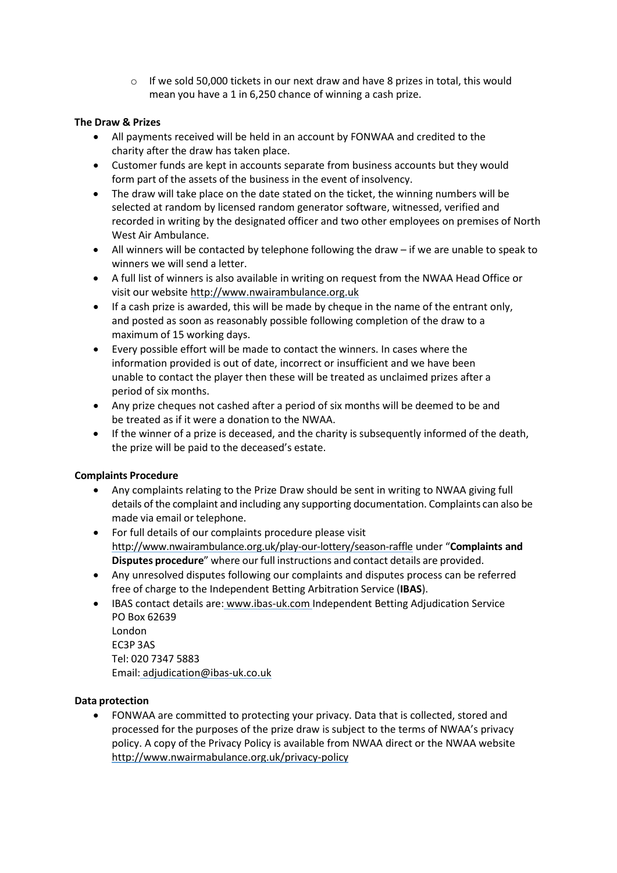$\circ$  If we sold 50,000 tickets in our next draw and have 8 prizes in total, this would mean you have a 1 in 6,250 chance of winning a cash prize.

## **The Draw & Prizes**

- All payments received will be held in an account by FONWAA and credited to the charity after the draw has taken place.
- Customer funds are kept in accounts separate from business accounts but they would form part of the assets of the business in the event of insolvency.
- The draw will take place on the date stated on the ticket, the winning numbers will be selected at random by licensed random generator software, witnessed, verified and recorded in writing by the designated officer and two other employees on premises of North West Air Ambulance.
- All winners will be contacted by telephone following the draw if we are unable to speak to winners we will send a letter.
- A full list of winners is also available in writing on request from the NWAA Head Office or visit our website [http://www.nwairambulance.org.uk](http://www.nwairambulance.org.uk/)
- If a cash prize is awarded, this will be made by cheque in the name of the entrant only, and posted as soon as reasonably possible following completion of the draw to a maximum of 15 working days.
- Every possible effort will be made to contact the winners. In cases where the information provided is out of date, incorrect or insufficient and we have been unable to contact the player then these will be treated as unclaimed prizes after a period of six months.
- Any prize cheques not cashed after a period of six months will be deemed to be and be treated as if it were a donation to the NWAA.
- If the winner of a prize is deceased, and the charity is subsequently informed of the death, the prize will be paid to the deceased's estate.

### **Complaints Procedure**

- Any complaints relating to the Prize Draw should be sent in writing to NWAA giving full details of the complaint and including any supporting documentation. Complaints can also be made via email or telephone.
- For full details of our complaints procedure please visit <http://www.nwairambulance.org.uk/play-our-lottery/season-raffle> under "**Complaints and Disputes procedure**" where our full instructions and contact details are provided.
- Any unresolved disputes following our complaints and disputes process can be referred free of charge to the Independent Betting Arbitration Service (**IBAS**).
- IBAS contact details are: [www.ibas-uk.com In](http://www.ibas-uk.com/)dependent Betting Adjudication Service PO Box 62639 London EC3P 3AS Tel: 020 7347 5883 Ema[il: adjudication@ibas-uk.co.uk](mailto:adjudication@ibas-uk.co.uk)

### **Data protection**

• FONWAA are committed to protecting your privacy. Data that is collected, stored and processed for the purposes of the prize draw is subject to the terms of NWAA's privacy policy. A copy of the Privacy Policy is available from NWAA direct or the NWAA website <http://www.nwairmabulance.org.uk/privacy-policy>